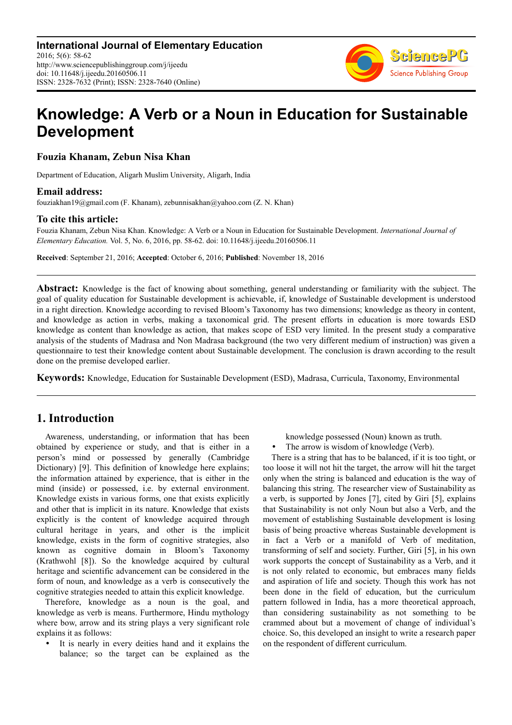

# **Knowledge: A Verb or a Noun in Education for Sustainable Development**

**Fouzia Khanam, Zebun Nisa Khan** 

Department of Education, Aligarh Muslim University, Aligarh, India

#### **Email address:**

fouziakhan19@gmail.com (F. Khanam), zebunnisakhan@yahoo.com (Z. N. Khan)

#### **To cite this article:**

Fouzia Khanam, Zebun Nisa Khan. Knowledge: A Verb or a Noun in Education for Sustainable Development. *International Journal of Elementary Education.* Vol. 5, No. 6, 2016, pp. 58-62. doi: 10.11648/j.ijeedu.20160506.11

**Received**: September 21, 2016; **Accepted**: October 6, 2016; **Published**: November 18, 2016

**Abstract:** Knowledge is the fact of knowing about something, general understanding or familiarity with the subject. The goal of quality education for Sustainable development is achievable, if, knowledge of Sustainable development is understood in a right direction. Knowledge according to revised Bloom's Taxonomy has two dimensions; knowledge as theory in content, and knowledge as action in verbs, making a taxonomical grid. The present efforts in education is more towards ESD knowledge as content than knowledge as action, that makes scope of ESD very limited. In the present study a comparative analysis of the students of Madrasa and Non Madrasa background (the two very different medium of instruction) was given a questionnaire to test their knowledge content about Sustainable development. The conclusion is drawn according to the result done on the premise developed earlier.

**Keywords:** Knowledge, Education for Sustainable Development (ESD), Madrasa, Curricula, Taxonomy, Environmental

# **1. Introduction**

Awareness, understanding, or information that has been obtained by experience or study, and that is either in a person's mind or possessed by generally (Cambridge Dictionary) [9]. This definition of knowledge here explains; the information attained by experience, that is either in the mind (inside) or possessed, i.e. by external environment. Knowledge exists in various forms, one that exists explicitly and other that is implicit in its nature. Knowledge that exists explicitly is the content of knowledge acquired through cultural heritage in years, and other is the implicit knowledge, exists in the form of cognitive strategies, also known as cognitive domain in Bloom's Taxonomy (Krathwohl [8]). So the knowledge acquired by cultural heritage and scientific advancement can be considered in the form of noun, and knowledge as a verb is consecutively the cognitive strategies needed to attain this explicit knowledge.

Therefore, knowledge as a noun is the goal, and knowledge as verb is means. Furthermore, Hindu mythology where bow, arrow and its string plays a very significant role explains it as follows:

 It is nearly in every deities hand and it explains the balance; so the target can be explained as the

- knowledge possessed (Noun) known as truth.
- The arrow is wisdom of knowledge (Verb).

There is a string that has to be balanced, if it is too tight, or too loose it will not hit the target, the arrow will hit the target only when the string is balanced and education is the way of balancing this string. The researcher view of Sustainability as a verb, is supported by Jones [7], cited by Giri [5], explains that Sustainability is not only Noun but also a Verb, and the movement of establishing Sustainable development is losing basis of being proactive whereas Sustainable development is in fact a Verb or a manifold of Verb of meditation, transforming of self and society. Further, Giri [5], in his own work supports the concept of Sustainability as a Verb, and it is not only related to economic, but embraces many fields and aspiration of life and society. Though this work has not been done in the field of education, but the curriculum pattern followed in India, has a more theoretical approach, than considering sustainability as not something to be crammed about but a movement of change of individual's choice. So, this developed an insight to write a research paper on the respondent of different curriculum.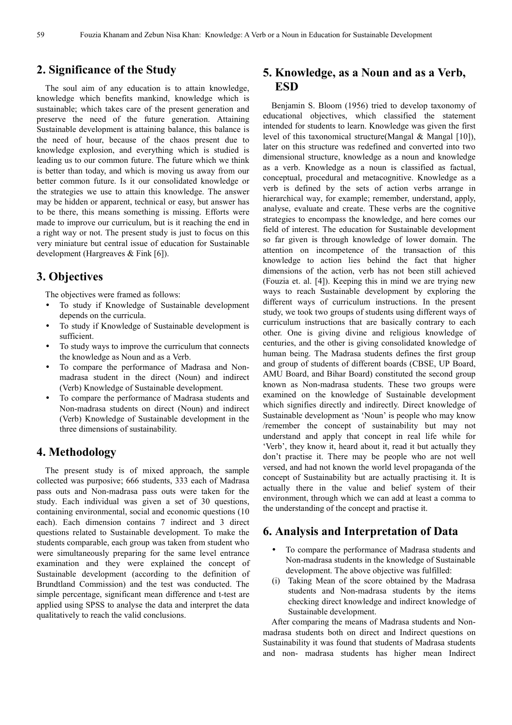# **2. Significance of the Study**

The soul aim of any education is to attain knowledge, knowledge which benefits mankind, knowledge which is sustainable; which takes care of the present generation and preserve the need of the future generation. Attaining Sustainable development is attaining balance, this balance is the need of hour, because of the chaos present due to knowledge explosion, and everything which is studied is leading us to our common future. The future which we think is better than today, and which is moving us away from our better common future. Is it our consolidated knowledge or the strategies we use to attain this knowledge. The answer may be hidden or apparent, technical or easy, but answer has to be there, this means something is missing. Efforts were made to improve our curriculum, but is it reaching the end in a right way or not. The present study is just to focus on this very miniature but central issue of education for Sustainable development (Hargreaves & Fink [6]).

#### **3. Objectives**

The objectives were framed as follows:

- To study if Knowledge of Sustainable development depends on the curricula.
- To study if Knowledge of Sustainable development is sufficient.
- To study ways to improve the curriculum that connects the knowledge as Noun and as a Verb.
- To compare the performance of Madrasa and Nonmadrasa student in the direct (Noun) and indirect (Verb) Knowledge of Sustainable development.
- To compare the performance of Madrasa students and Non-madrasa students on direct (Noun) and indirect (Verb) Knowledge of Sustainable development in the three dimensions of sustainability.

### **4. Methodology**

The present study is of mixed approach, the sample collected was purposive; 666 students, 333 each of Madrasa pass outs and Non-madrasa pass outs were taken for the study. Each individual was given a set of 30 questions, containing environmental, social and economic questions (10 each). Each dimension contains 7 indirect and 3 direct questions related to Sustainable development. To make the students comparable, each group was taken from student who were simultaneously preparing for the same level entrance examination and they were explained the concept of Sustainable development (according to the definition of Brundtland Commission) and the test was conducted. The simple percentage, significant mean difference and t-test are applied using SPSS to analyse the data and interpret the data qualitatively to reach the valid conclusions.

## **5. Knowledge, as a Noun and as a Verb, ESD**

Benjamin S. Bloom (1956) tried to develop taxonomy of educational objectives, which classified the statement intended for students to learn. Knowledge was given the first level of this taxonomical structure(Mangal & Mangal [10]), later on this structure was redefined and converted into two dimensional structure, knowledge as a noun and knowledge as a verb. Knowledge as a noun is classified as factual, conceptual, procedural and metacognitive. Knowledge as a verb is defined by the sets of action verbs arrange in hierarchical way, for example; remember, understand, apply, analyse, evaluate and create. These verbs are the cognitive strategies to encompass the knowledge, and here comes our field of interest. The education for Sustainable development so far given is through knowledge of lower domain. The attention on incompetence of the transaction of this knowledge to action lies behind the fact that higher dimensions of the action, verb has not been still achieved (Fouzia et. al. [4]). Keeping this in mind we are trying new ways to reach Sustainable development by exploring the different ways of curriculum instructions. In the present study, we took two groups of students using different ways of curriculum instructions that are basically contrary to each other. One is giving divine and religious knowledge of centuries, and the other is giving consolidated knowledge of human being. The Madrasa students defines the first group and group of students of different boards (CBSE, UP Board, AMU Board, and Bihar Board) constituted the second group known as Non-madrasa students. These two groups were examined on the knowledge of Sustainable development which signifies directly and indirectly. Direct knowledge of Sustainable development as 'Noun' is people who may know /remember the concept of sustainability but may not understand and apply that concept in real life while for 'Verb', they know it, heard about it, read it but actually they don't practise it. There may be people who are not well versed, and had not known the world level propaganda of the concept of Sustainability but are actually practising it. It is actually there in the value and belief system of their environment, through which we can add at least a comma to the understanding of the concept and practise it.

## **6. Analysis and Interpretation of Data**

- To compare the performance of Madrasa students and Non-madrasa students in the knowledge of Sustainable development. The above objective was fulfilled:
- (i) Taking Mean of the score obtained by the Madrasa students and Non-madrasa students by the items checking direct knowledge and indirect knowledge of Sustainable development.

After comparing the means of Madrasa students and Nonmadrasa students both on direct and Indirect questions on Sustainability it was found that students of Madrasa students and non- madrasa students has higher mean Indirect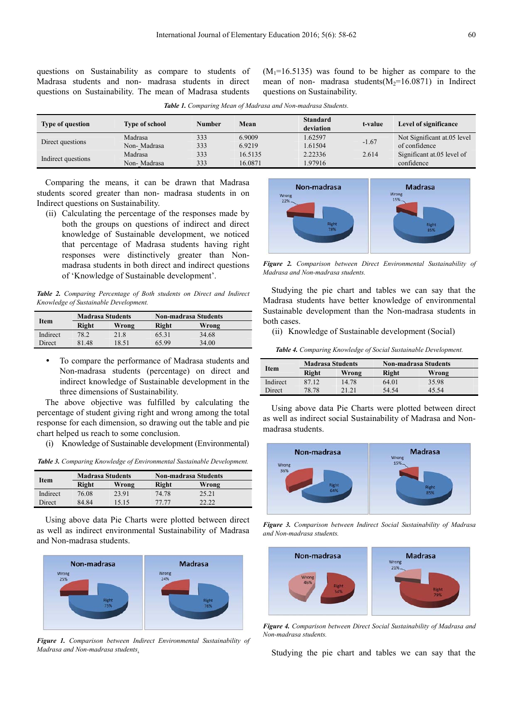questions on Sustainability as compare to students of Madrasa students and non- madrasa students in direct questions on Sustainability. The mean of Madrasa students  $(M_1=16.5135)$  was found to be higher as compare to the mean of non- madrasa students( $M_2=16.0871$ ) in Indirect questions on Sustainability.

| <b>Type of question</b> | <b>Type of school</b> | <b>Number</b> | Mean    | <b>Standard</b><br>deviation | t-value | <b>Level of significance</b> |
|-------------------------|-----------------------|---------------|---------|------------------------------|---------|------------------------------|
| Direct questions        | Madrasa               | 333           | 6.9009  | 1.62597                      | $-1.67$ | Not Significant at 05 level  |
|                         | Non-Madrasa           | 333           | 6.9219  | 1.61504                      |         | of confidence                |
| Indirect questions      | Madrasa               | 333           | 16.5135 | 2.22336                      | 2.614   | Significant at 05 level of   |
|                         | Non-Madrasa           | 333           | 16.0871 | 1.97916                      |         | confidence                   |

*Table 1. Comparing Mean of Madrasa and Non-madrasa Students.*

Comparing the means, it can be drawn that Madrasa students scored greater than non- madrasa students in on Indirect questions on Sustainability.

(ii) Calculating the percentage of the responses made by both the groups on questions of indirect and direct knowledge of Sustainable development, we noticed that percentage of Madrasa students having right responses were distinctively greater than Nonmadrasa students in both direct and indirect questions of 'Knowledge of Sustainable development'.

*Table 2. Comparing Percentage of Both students on Direct and Indirect Knowledge of Sustainable Development.*

| Item     | <b>Madrasa Students</b> |       | <b>Non-madrasa Students</b> |       |  |
|----------|-------------------------|-------|-----------------------------|-------|--|
|          | Right                   | Wrong | Right                       | Wrong |  |
| Indirect | 78.2                    | 21.8  | 65.31                       | 34.68 |  |
| Direct   | 81.48                   | 18.51 | 65.99                       | 34.00 |  |

 To compare the performance of Madrasa students and Non-madrasa students (percentage) on direct and indirect knowledge of Sustainable development in the three dimensions of Sustainability.

The above objective was fulfilled by calculating the percentage of student giving right and wrong among the total response for each dimension, so drawing out the table and pie chart helped us reach to some conclusion.

(i) Knowledge of Sustainable development (Environmental)

*Table 3. Comparing Knowledge of Environmental Sustainable Development.* 

| <b>Item</b> | <b>Madrasa Students</b> |       | <b>Non-madrasa Students</b> |       |  |
|-------------|-------------------------|-------|-----------------------------|-------|--|
|             | Right                   | Wrong | Right                       | Wrong |  |
| Indirect    | 76.08                   | 23.91 | 74.78                       | 25.21 |  |
| Direct      | 84.84                   | 15 15 | 77 77                       | 22.22 |  |

Using above data Pie Charts were plotted between direct as well as indirect environmental Sustainability of Madrasa and Non-madrasa students.



*Figure 1. Comparison between Indirect Environmental Sustainability of Madrasa and Non-madrasa students.* 



*Figure 2. Comparison between Direct Environmental Sustainability of Madrasa and Non-madrasa students.* 

Studying the pie chart and tables we can say that the Madrasa students have better knowledge of environmental Sustainable development than the Non-madrasa students in both cases.

(ii) Knowledge of Sustainable development (Social)

*Table 4. Comparing Knowledge of Social Sustainable Development.* 

| Item     | <b>Madrasa Students</b> |       | <b>Non-madrasa Students</b> |       |  |
|----------|-------------------------|-------|-----------------------------|-------|--|
|          | Right                   | Wrong | Right                       | Wrong |  |
| Indirect | 87.12                   | 14.78 | 64.01                       | 35.98 |  |
| Direct   | 78.78                   | 21 21 | 54.54                       | 45 54 |  |

Using above data Pie Charts were plotted between direct as well as indirect social Sustainability of Madrasa and Nonmadrasa students.



*Figure 3. Comparison between Indirect Social Sustainability of Madrasa and Non-madrasa students.* 



*Figure 4. Comparison between Direct Social Sustainability of Madrasa and Non-madrasa students.* 

Studying the pie chart and tables we can say that the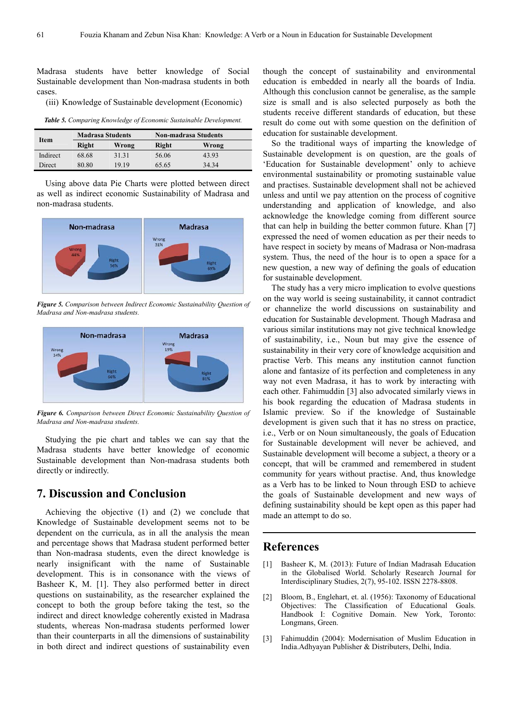Madrasa students have better knowledge of Social Sustainable development than Non-madrasa students in both cases.

(iii) Knowledge of Sustainable development (Economic)

*Table 5. Comparing Knowledge of Economic Sustainable Development.* 

| Item     | <b>Madrasa Students</b> |       | <b>Non-madrasa Students</b> |       |  |
|----------|-------------------------|-------|-----------------------------|-------|--|
|          | Right                   | Wrong | Right                       | Wrong |  |
| Indirect | 68.68                   | 31.31 | 56.06                       | 43.93 |  |
| Direct   | 80.80                   | 19 19 | 65.65                       | 34 34 |  |

Using above data Pie Charts were plotted between direct as well as indirect economic Sustainability of Madrasa and non-madrasa students.



*Figure 5. Comparison between Indirect Economic Sustainability Question of Madrasa and Non-madrasa students.* 



*Figure 6. Comparison between Direct Economic Sustainability Question of Madrasa and Non-madrasa students.* 

Studying the pie chart and tables we can say that the Madrasa students have better knowledge of economic Sustainable development than Non-madrasa students both directly or indirectly.

## **7. Discussion and Conclusion**

Achieving the objective (1) and (2) we conclude that Knowledge of Sustainable development seems not to be dependent on the curricula, as in all the analysis the mean and percentage shows that Madrasa student performed better than Non-madrasa students, even the direct knowledge is nearly insignificant with the name of Sustainable development. This is in consonance with the views of Basheer K, M. [1]. They also performed better in direct questions on sustainability, as the researcher explained the concept to both the group before taking the test, so the indirect and direct knowledge coherently existed in Madrasa students, whereas Non-madrasa students performed lower than their counterparts in all the dimensions of sustainability in both direct and indirect questions of sustainability even though the concept of sustainability and environmental education is embedded in nearly all the boards of India. Although this conclusion cannot be generalise, as the sample size is small and is also selected purposely as both the students receive different standards of education, but these result do come out with some question on the definition of education for sustainable development.

So the traditional ways of imparting the knowledge of Sustainable development is on question, are the goals of 'Education for Sustainable development' only to achieve environmental sustainability or promoting sustainable value and practises. Sustainable development shall not be achieved unless and until we pay attention on the process of cognitive understanding and application of knowledge, and also acknowledge the knowledge coming from different source that can help in building the better common future. Khan [7] expressed the need of women education as per their needs to have respect in society by means of Madrasa or Non-madrasa system. Thus, the need of the hour is to open a space for a new question, a new way of defining the goals of education for sustainable development.

The study has a very micro implication to evolve questions on the way world is seeing sustainability, it cannot contradict or channelize the world discussions on sustainability and education for Sustainable development. Though Madrasa and various similar institutions may not give technical knowledge of sustainability, i.e., Noun but may give the essence of sustainability in their very core of knowledge acquisition and practise Verb. This means any institution cannot function alone and fantasize of its perfection and completeness in any way not even Madrasa, it has to work by interacting with each other. Fahimuddin [3] also advocated similarly views in his book regarding the education of Madrasa students in Islamic preview. So if the knowledge of Sustainable development is given such that it has no stress on practice, i.e., Verb or on Noun simultaneously, the goals of Education for Sustainable development will never be achieved, and Sustainable development will become a subject, a theory or a concept, that will be crammed and remembered in student community for years without practise. And, thus knowledge as a Verb has to be linked to Noun through ESD to achieve the goals of Sustainable development and new ways of defining sustainability should be kept open as this paper had made an attempt to do so.

#### **References**

- [1] Basheer K, M. (2013): Future of Indian Madrasah Education in the Globalised World. Scholarly Research Journal for Interdisciplinary Studies, 2(7), 95-102. ISSN 2278-8808.
- [2] Bloom, B., Englehart, et. al. (1956): Taxonomy of Educational Objectives: The Classification of Educational Goals. Handbook I: Cognitive Domain. New York, Toronto: Longmans, Green.
- [3] Fahimuddin (2004): Modernisation of Muslim Education in India.Adhyayan Publisher & Distributers, Delhi, India.